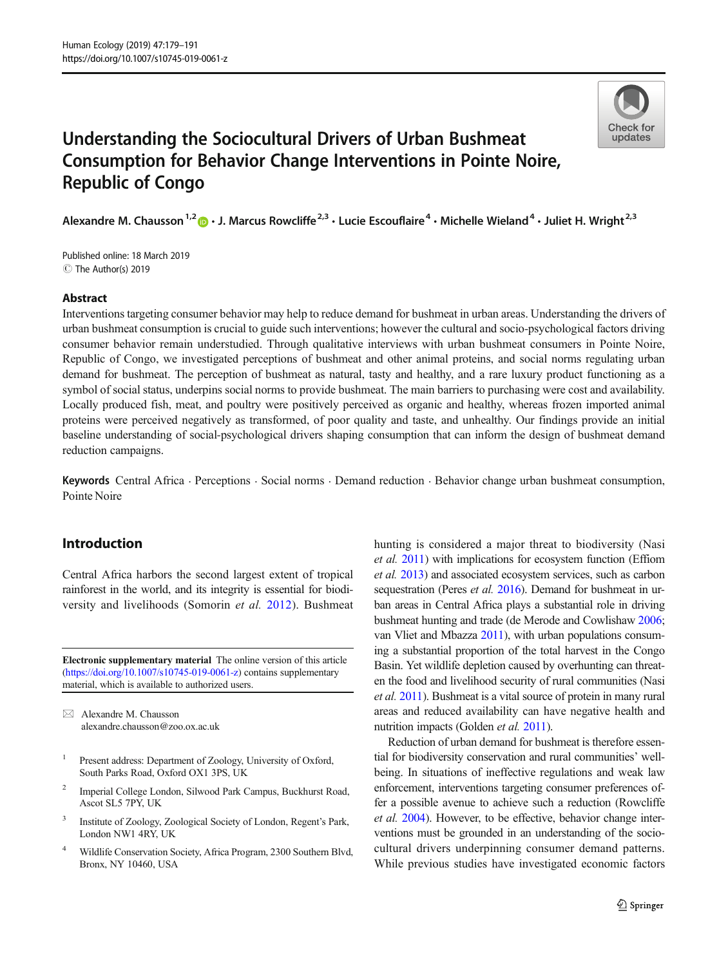

# Understanding the Sociocultural Drivers of Urban Bushmeat Consumption for Behavior Change Interventions in Pointe Noire, Republic of Congo

Alexandre M. Chausson<sup>1,2</sup>  $\cdot$  J. Marcus Rowcliffe<sup>2,3</sup>  $\cdot$  Lucie Escouflaire<sup>4</sup>  $\cdot$  Michelle Wieland<sup>4</sup>  $\cdot$  Juliet H. Wright<sup>2,3</sup>

C The Author(s) 2019 Published online: 18 March 2019

### Abstract

Interventions targeting consumer behavior may help to reduce demand for bushmeat in urban areas. Understanding the drivers of urban bushmeat consumption is crucial to guide such interventions; however the cultural and socio-psychological factors driving consumer behavior remain understudied. Through qualitative interviews with urban bushmeat consumers in Pointe Noire, Republic of Congo, we investigated perceptions of bushmeat and other animal proteins, and social norms regulating urban demand for bushmeat. The perception of bushmeat as natural, tasty and healthy, and a rare luxury product functioning as a symbol of social status, underpins social norms to provide bushmeat. The main barriers to purchasing were cost and availability. Locally produced fish, meat, and poultry were positively perceived as organic and healthy, whereas frozen imported animal proteins were perceived negatively as transformed, of poor quality and taste, and unhealthy. Our findings provide an initial baseline understanding of social-psychological drivers shaping consumption that can inform the design of bushmeat demand reduction campaigns.

Keywords Central Africa . Perceptions . Social norms . Demand reduction . Behavior change urban bushmeat consumption, Pointe Noire

# Introduction

Central Africa harbors the second largest extent of tropical rainforest in the world, and its integrity is essential for biodiversity and livelihoods (Somorin et al. [2012\)](#page-12-0). Bushmeat

Electronic supplementary material The online version of this article ([https://doi.org/10.1007/s10745-019-0061-z\)](https://doi.org/10.1007/s10745-019-0061-z) contains supplementary material, which is available to authorized users.

 $\boxtimes$  Alexandre M. Chausson [alexandre.chausson@zoo.ox.ac.uk](mailto:alexandre.chausson@zoo.ox.ac.uk)

- <sup>1</sup> Present address: Department of Zoology, University of Oxford, South Parks Road, Oxford OX1 3PS, UK
- <sup>2</sup> Imperial College London, Silwood Park Campus, Buckhurst Road, Ascot SL5 7PY, UK
- <sup>3</sup> Institute of Zoology, Zoological Society of London, Regent's Park, London NW1 4RY, UK
- <sup>4</sup> Wildlife Conservation Society, Africa Program, 2300 Southern Blvd, Bronx, NY 10460, USA

hunting is considered a major threat to biodiversity (Nasi et al. [2011\)](#page-12-0) with implications for ecosystem function (Effiom et al. [2013](#page-11-0)) and associated ecosystem services, such as carbon sequestration (Peres *et al.* [2016](#page-12-0)). Demand for bushmeat in urban areas in Central Africa plays a substantial role in driving bushmeat hunting and trade (de Merode and Cowlishaw [2006;](#page-11-0) van Vliet and Mbazza [2011](#page-12-0)), with urban populations consuming a substantial proportion of the total harvest in the Congo Basin. Yet wildlife depletion caused by overhunting can threaten the food and livelihood security of rural communities (Nasi et al. [2011\)](#page-12-0). Bushmeat is a vital source of protein in many rural areas and reduced availability can have negative health and nutrition impacts (Golden et al. [2011](#page-12-0)).

Reduction of urban demand for bushmeat is therefore essential for biodiversity conservation and rural communities' wellbeing. In situations of ineffective regulations and weak law enforcement, interventions targeting consumer preferences offer a possible avenue to achieve such a reduction (Rowcliffe et al. [2004](#page-12-0)). However, to be effective, behavior change interventions must be grounded in an understanding of the sociocultural drivers underpinning consumer demand patterns. While previous studies have investigated economic factors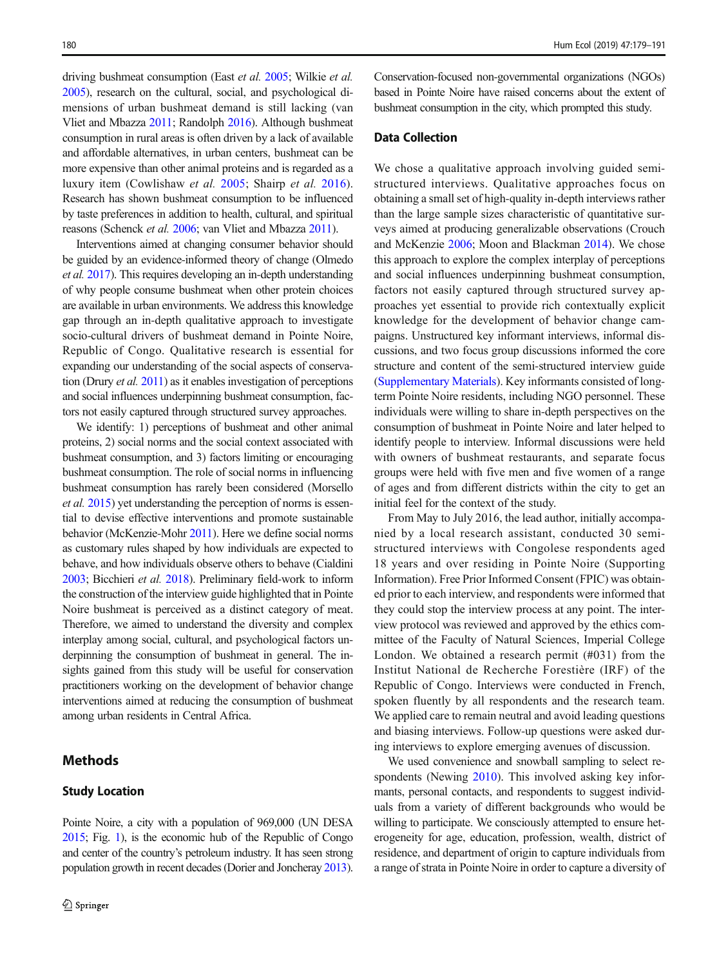driving bushmeat consumption (East et al. [2005;](#page-11-0) Wilkie et al. [2005](#page-12-0)), research on the cultural, social, and psychological dimensions of urban bushmeat demand is still lacking (van Vliet and Mbazza [2011](#page-12-0); Randolph [2016\)](#page-12-0). Although bushmeat consumption in rural areas is often driven by a lack of available and affordable alternatives, in urban centers, bushmeat can be more expensive than other animal proteins and is regarded as a luxury item (Cowlishaw et al. [2005;](#page-11-0) Shairp et al. [2016](#page-12-0)). Research has shown bushmeat consumption to be influenced by taste preferences in addition to health, cultural, and spiritual reasons (Schenck et al. [2006;](#page-12-0) van Vliet and Mbazza [2011\)](#page-12-0).

Interventions aimed at changing consumer behavior should be guided by an evidence-informed theory of change (Olmedo et al. [2017](#page-12-0)). This requires developing an in-depth understanding of why people consume bushmeat when other protein choices are available in urban environments. We address this knowledge gap through an in-depth qualitative approach to investigate socio-cultural drivers of bushmeat demand in Pointe Noire, Republic of Congo. Qualitative research is essential for expanding our understanding of the social aspects of conservation (Drury et al. [2011](#page-11-0)) as it enables investigation of perceptions and social influences underpinning bushmeat consumption, factors not easily captured through structured survey approaches.

We identify: 1) perceptions of bushmeat and other animal proteins, 2) social norms and the social context associated with bushmeat consumption, and 3) factors limiting or encouraging bushmeat consumption. The role of social norms in influencing bushmeat consumption has rarely been considered (Morsello et al. [2015\)](#page-12-0) yet understanding the perception of norms is essential to devise effective interventions and promote sustainable behavior (McKenzie-Mohr [2011\)](#page-12-0). Here we define social norms as customary rules shaped by how individuals are expected to behave, and how individuals observe others to behave (Cialdini [2003](#page-11-0); Bicchieri et al. [2018\)](#page-11-0). Preliminary field-work to inform the construction of the interview guide highlighted that in Pointe Noire bushmeat is perceived as a distinct category of meat. Therefore, we aimed to understand the diversity and complex interplay among social, cultural, and psychological factors underpinning the consumption of bushmeat in general. The insights gained from this study will be useful for conservation practitioners working on the development of behavior change interventions aimed at reducing the consumption of bushmeat among urban residents in Central Africa.

# **Methods**

### Study Location

Conservation-focused non-governmental organizations (NGOs) based in Pointe Noire have raised concerns about the extent of bushmeat consumption in the city, which prompted this study.

### Data Collection

We chose a qualitative approach involving guided semistructured interviews. Qualitative approaches focus on obtaining a small set of high-quality in-depth interviews rather than the large sample sizes characteristic of quantitative surveys aimed at producing generalizable observations (Crouch and McKenzie [2006](#page-11-0); Moon and Blackman [2014\)](#page-12-0). We chose this approach to explore the complex interplay of perceptions and social influences underpinning bushmeat consumption, factors not easily captured through structured survey approaches yet essential to provide rich contextually explicit knowledge for the development of behavior change campaigns. Unstructured key informant interviews, informal discussions, and two focus group discussions informed the core structure and content of the semi-structured interview guide (Supplementary Materials). Key informants consisted of longterm Pointe Noire residents, including NGO personnel. These individuals were willing to share in-depth perspectives on the consumption of bushmeat in Pointe Noire and later helped to identify people to interview. Informal discussions were held with owners of bushmeat restaurants, and separate focus groups were held with five men and five women of a range of ages and from different districts within the city to get an initial feel for the context of the study.

From May to July 2016, the lead author, initially accompanied by a local research assistant, conducted 30 semistructured interviews with Congolese respondents aged 18 years and over residing in Pointe Noire (Supporting Information). Free Prior Informed Consent (FPIC) was obtained prior to each interview, and respondents were informed that they could stop the interview process at any point. The interview protocol was reviewed and approved by the ethics committee of the Faculty of Natural Sciences, Imperial College London. We obtained a research permit (#031) from the Institut National de Recherche Forestière (IRF) of the Republic of Congo. Interviews were conducted in French, spoken fluently by all respondents and the research team. We applied care to remain neutral and avoid leading questions and biasing interviews. Follow-up questions were asked during interviews to explore emerging avenues of discussion.

We used convenience and snowball sampling to select re-spondents (Newing [2010\)](#page-12-0). This involved asking key informants, personal contacts, and respondents to suggest individuals from a variety of different backgrounds who would be willing to participate. We consciously attempted to ensure heterogeneity for age, education, profession, wealth, district of residence, and department of origin to capture individuals from a range of strata in Pointe Noire in order to capture a diversity of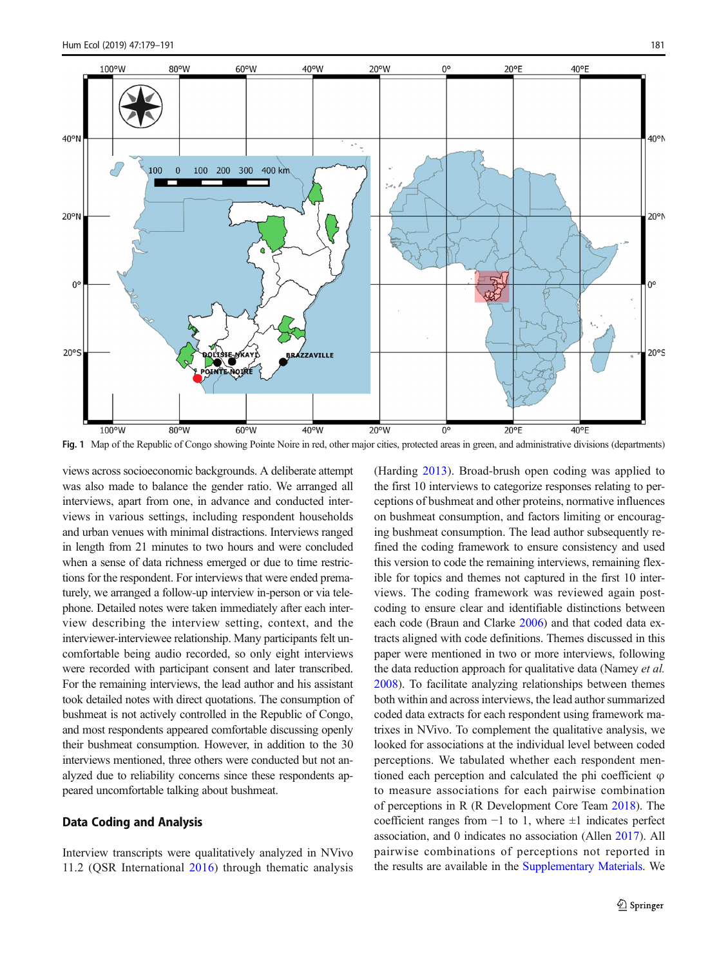<span id="page-2-0"></span>

Fig. 1 Map of the Republic of Congo showing Pointe Noire in red, other major cities, protected areas in green, and administrative divisions (departments)

views across socioeconomic backgrounds. A deliberate attempt was also made to balance the gender ratio. We arranged all interviews, apart from one, in advance and conducted interviews in various settings, including respondent households and urban venues with minimal distractions. Interviews ranged in length from 21 minutes to two hours and were concluded when a sense of data richness emerged or due to time restrictions for the respondent. For interviews that were ended prematurely, we arranged a follow-up interview in-person or via telephone. Detailed notes were taken immediately after each interview describing the interview setting, context, and the interviewer-interviewee relationship. Many participants felt uncomfortable being audio recorded, so only eight interviews were recorded with participant consent and later transcribed. For the remaining interviews, the lead author and his assistant took detailed notes with direct quotations. The consumption of bushmeat is not actively controlled in the Republic of Congo, and most respondents appeared comfortable discussing openly their bushmeat consumption. However, in addition to the 30 interviews mentioned, three others were conducted but not analyzed due to reliability concerns since these respondents appeared uncomfortable talking about bushmeat.

### Data Coding and Analysis

Interview transcripts were qualitatively analyzed in NVivo 11.2 (QSR International [2016](#page-12-0)) through thematic analysis (Harding [2013](#page-12-0)). Broad-brush open coding was applied to the first 10 interviews to categorize responses relating to perceptions of bushmeat and other proteins, normative influences on bushmeat consumption, and factors limiting or encouraging bushmeat consumption. The lead author subsequently refined the coding framework to ensure consistency and used this version to code the remaining interviews, remaining flexible for topics and themes not captured in the first 10 interviews. The coding framework was reviewed again postcoding to ensure clear and identifiable distinctions between each code (Braun and Clarke [2006\)](#page-11-0) and that coded data extracts aligned with code definitions. Themes discussed in this paper were mentioned in two or more interviews, following the data reduction approach for qualitative data (Namey *et al.*) [2008\)](#page-12-0). To facilitate analyzing relationships between themes both within and across interviews, the lead author summarized coded data extracts for each respondent using framework matrixes in NVivo. To complement the qualitative analysis, we looked for associations at the individual level between coded perceptions. We tabulated whether each respondent mentioned each perception and calculated the phi coefficient  $\varphi$ to measure associations for each pairwise combination of perceptions in R (R Development Core Team [2018](#page-12-0)). The coefficient ranges from  $-1$  to 1, where  $\pm 1$  indicates perfect association, and 0 indicates no association (Allen [2017](#page-11-0)). All pairwise combinations of perceptions not reported in the results are available in the Supplementary Materials. We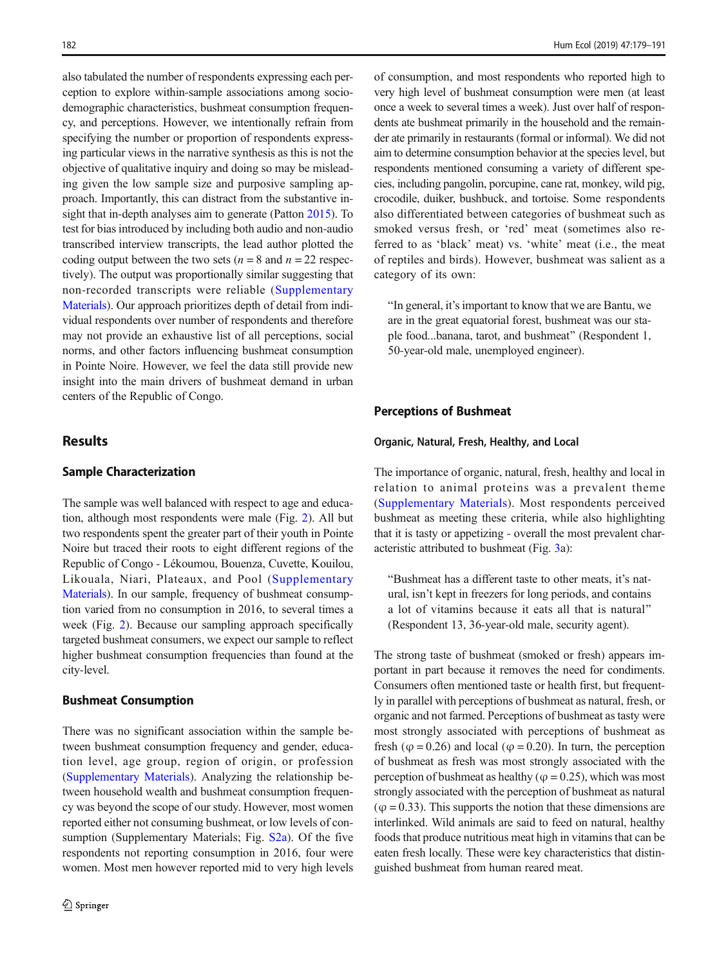also tabulated the number of respondents expressing each perception to explore within-sample associations among sociodemographic characteristics, bushmeat consumption frequency, and perceptions. However, we intentionally refrain from specifying the number or proportion of respondents expressing particular views in the narrative synthesis as this is not the objective of qualitative inquiry and doing so may be misleading given the low sample size and purposive sampling approach. Importantly, this can distract from the substantive insight that in-depth analyses aim to generate (Patton [2015\)](#page-12-0). To test for bias introduced by including both audio and non-audio transcribed interview transcripts, the lead author plotted the coding output between the two sets ( $n = 8$  and  $n = 22$  respectively). The output was proportionally similar suggesting that non-recorded transcripts were reliable (Supplementary Materials). Our approach prioritizes depth of detail from individual respondents over number of respondents and therefore may not provide an exhaustive list of all perceptions, social norms, and other factors influencing bushmeat consumption in Pointe Noire. However, we feel the data still provide new insight into the main drivers of bushmeat demand in urban centers of the Republic of Congo.

### **Results**

### Sample Characterization

The sample was well balanced with respect to age and education, although most respondents were male (Fig. [2](#page-4-0)). All but two respondents spent the greater part of their youth in Pointe Noire but traced their roots to eight different regions of the Republic of Congo - Lékoumou, Bouenza, Cuvette, Kouilou, Likouala, Niari, Plateaux, and Pool (Supplementary Materials). In our sample, frequency of bushmeat consumption varied from no consumption in 2016, to several times a week (Fig. [2\)](#page-4-0). Because our sampling approach specifically targeted bushmeat consumers, we expect our sample to reflect higher bushmeat consumption frequencies than found at the city-level.

#### Bushmeat Consumption

There was no significant association within the sample between bushmeat consumption frequency and gender, education level, age group, region of origin, or profession (Supplementary Materials). Analyzing the relationship between household wealth and bushmeat consumption frequency was beyond the scope of our study. However, most women reported either not consuming bushmeat, or low levels of consumption (Supplementary Materials; Fig. S2a). Of the five respondents not reporting consumption in 2016, four were women. Most men however reported mid to very high levels of consumption, and most respondents who reported high to very high level of bushmeat consumption were men (at least once a week to several times a week). Just over half of respondents ate bushmeat primarily in the household and the remainder ate primarily in restaurants (formal or informal). We did not aim to determine consumption behavior at the species level, but respondents mentioned consuming a variety of different species, including pangolin, porcupine, cane rat, monkey, wild pig, crocodile, duiker, bushbuck, and tortoise. Some respondents also differentiated between categories of bushmeat such as smoked versus fresh, or 'red' meat (sometimes also referred to as 'black' meat) vs. 'white' meat (i.e., the meat of reptiles and birds). However, bushmeat was salient as a category of its own:

"In general, it's important to know that we are Bantu, we are in the great equatorial forest, bushmeat was our staple food...banana, tarot, and bushmeat" (Respondent 1, 50-year-old male, unemployed engineer).

### Perceptions of Bushmeat

#### Organic, Natural, Fresh, Healthy, and Local

The importance of organic, natural, fresh, healthy and local in relation to animal proteins was a prevalent theme (Supplementary Materials). Most respondents perceived bushmeat as meeting these criteria, while also highlighting that it is tasty or appetizing - overall the most prevalent characteristic attributed to bushmeat (Fig. [3a](#page-5-0)):

"Bushmeat has a different taste to other meats, it's natural, isn't kept in freezers for long periods, and contains a lot of vitamins because it eats all that is natural^ (Respondent 13, 36-year-old male, security agent).

The strong taste of bushmeat (smoked or fresh) appears important in part because it removes the need for condiments. Consumers often mentioned taste or health first, but frequently in parallel with perceptions of bushmeat as natural, fresh, or organic and not farmed. Perceptions of bushmeat as tasty were most strongly associated with perceptions of bushmeat as fresh ( $\varphi$  = 0.26) and local ( $\varphi$  = 0.20). In turn, the perception of bushmeat as fresh was most strongly associated with the perception of bushmeat as healthy ( $\varphi$  = 0.25), which was most strongly associated with the perception of bushmeat as natural  $(\varphi = 0.33)$ . This supports the notion that these dimensions are interlinked. Wild animals are said to feed on natural, healthy foods that produce nutritious meat high in vitamins that can be eaten fresh locally. These were key characteristics that distinguished bushmeat from human reared meat.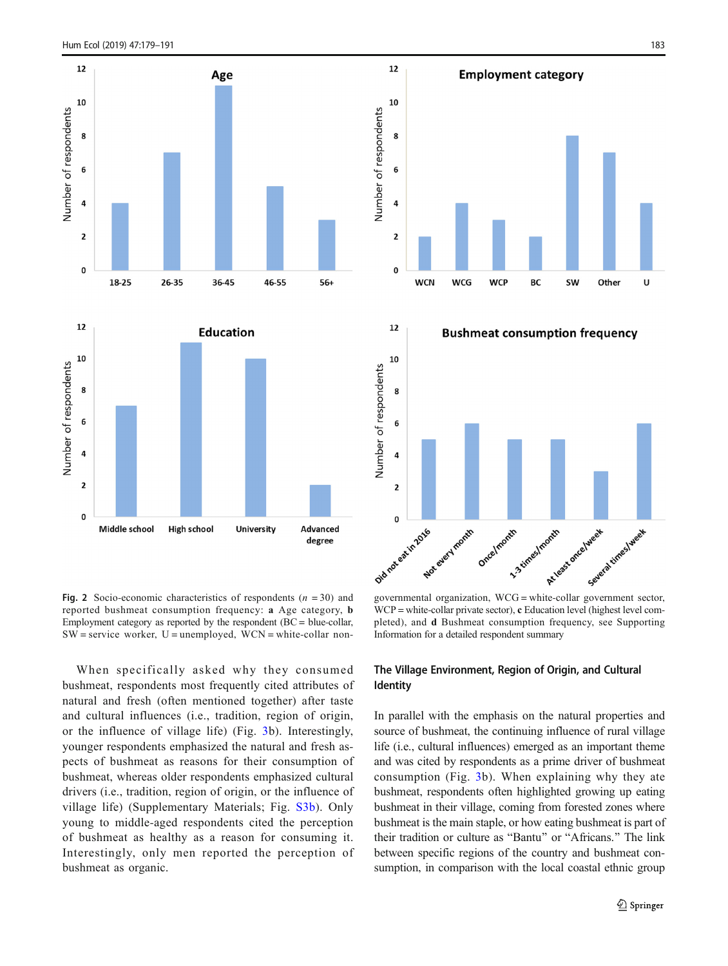<span id="page-4-0"></span>

Fig. 2 Socio-economic characteristics of respondents  $(n = 30)$  and reported bushmeat consumption frequency: a Age category, b Employment category as reported by the respondent (BC = blue-collar,  $SW =$  service worker,  $U =$  unemployed,  $WCN =$  white-collar non-





WCP = white-collar private sector), c Education level (highest level completed), and d Bushmeat consumption frequency, see Supporting Information for a detailed respondent summary

When specifically asked why they consumed bushmeat, respondents most frequently cited attributes of natural and fresh (often mentioned together) after taste and cultural influences (i.e., tradition, region of origin, or the influence of village life) (Fig. [3b](#page-5-0)). Interestingly, younger respondents emphasized the natural and fresh aspects of bushmeat as reasons for their consumption of bushmeat, whereas older respondents emphasized cultural drivers (i.e., tradition, region of origin, or the influence of village life) (Supplementary Materials; Fig. S3b). Only young to middle-aged respondents cited the perception of bushmeat as healthy as a reason for consuming it. Interestingly, only men reported the perception of bushmeat as organic.

## The Village Environment, Region of Origin, and Cultural Identity

In parallel with the emphasis on the natural properties and source of bushmeat, the continuing influence of rural village life (i.e., cultural influences) emerged as an important theme and was cited by respondents as a prime driver of bushmeat consumption (Fig. [3](#page-5-0)b). When explaining why they ate bushmeat, respondents often highlighted growing up eating bushmeat in their village, coming from forested zones where bushmeat is the main staple, or how eating bushmeat is part of their tradition or culture as "Bantu" or "Africans." The link between specific regions of the country and bushmeat consumption, in comparison with the local coastal ethnic group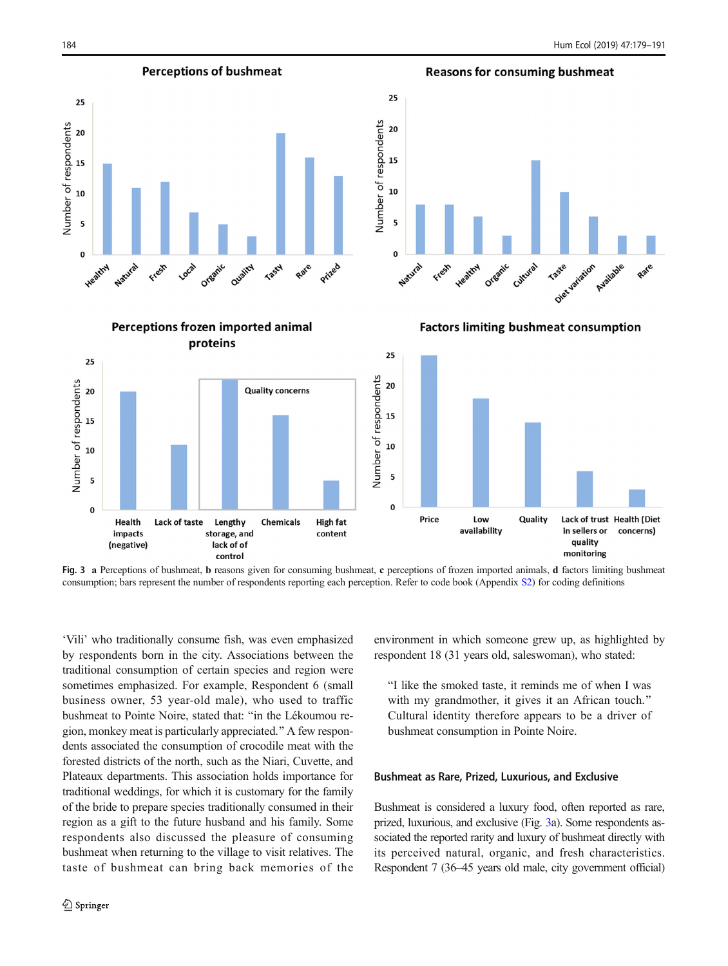Number of respondents

**Perceptions of bushmeat** 

### <span id="page-5-0"></span>25 Number of respondents  $20$ 15  $10$ 5  $\Omega$ Natural Organic Heatthy Freem Local Quality **Tasty** Rate Prized

Perceptions frozen imported animal

# **Reasons for consuming bushmeat**  $25$ 20 15  $10$ 5  $\mathbf{0}$ Diet variation Natural Freem Heathy Cultural Available Organic **Taste** Rate

**Factors limiting bushmeat consumption** 

proteins 25 25 Number of respondents Number of respondents 20 20 **Quality concerns** 15 15 10 10 5 5  $\mathbf 0$  $\mathbf 0$ Price Quality Lack of trust Health (Diet Low Lack of taste Chemicals Health **High fat** Lengthy availability in sellers or concerns) impacts storage, and content quality (negative) lack of of monitoring control

Fig. 3 a Perceptions of bushmeat, b reasons given for consuming bushmeat, c perceptions of frozen imported animals, d factors limiting bushmeat consumption; bars represent the number of respondents reporting each perception. Refer to code book (Appendix S2) for coding definitions

'Vili' who traditionally consume fish, was even emphasized by respondents born in the city. Associations between the traditional consumption of certain species and region were sometimes emphasized. For example, Respondent 6 (small business owner, 53 year-old male), who used to traffic bushmeat to Pointe Noire, stated that: "in the Lékoumou region, monkey meat is particularly appreciated.^ A few respondents associated the consumption of crocodile meat with the forested districts of the north, such as the Niari, Cuvette, and Plateaux departments. This association holds importance for traditional weddings, for which it is customary for the family of the bride to prepare species traditionally consumed in their region as a gift to the future husband and his family. Some respondents also discussed the pleasure of consuming bushmeat when returning to the village to visit relatives. The taste of bushmeat can bring back memories of the environment in which someone grew up, as highlighted by respondent 18 (31 years old, saleswoman), who stated:

"I like the smoked taste, it reminds me of when I was with my grandmother, it gives it an African touch." Cultural identity therefore appears to be a driver of bushmeat consumption in Pointe Noire.

#### Bushmeat as Rare, Prized, Luxurious, and Exclusive

Bushmeat is considered a luxury food, often reported as rare, prized, luxurious, and exclusive (Fig. 3a). Some respondents associated the reported rarity and luxury of bushmeat directly with its perceived natural, organic, and fresh characteristics. Respondent 7 (36–45 years old male, city government official)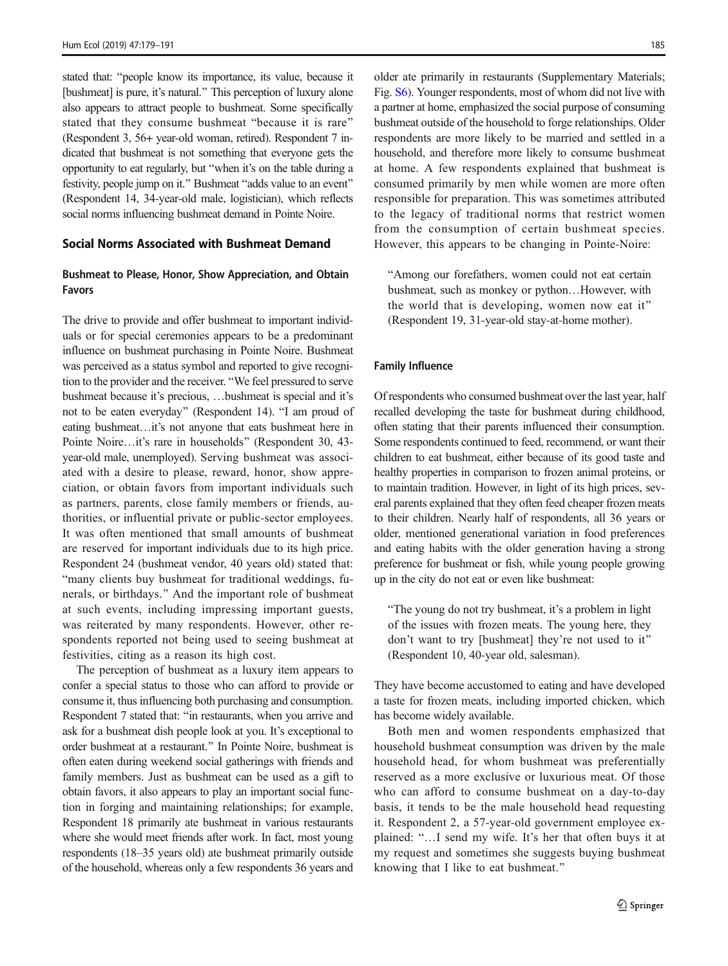stated that: "people know its importance, its value, because it [bushmeat] is pure, it's natural." This perception of luxury alone also appears to attract people to bushmeat. Some specifically stated that they consume bushmeat "because it is rare" (Respondent 3, 56+ year-old woman, retired). Respondent 7 indicated that bushmeat is not something that everyone gets the opportunity to eat regularly, but "when it's on the table during a festivity, people jump on it." Bushmeat "adds value to an event" (Respondent 14, 34-year-old male, logistician), which reflects social norms influencing bushmeat demand in Pointe Noire.

### Social Norms Associated with Bushmeat Demand

### Bushmeat to Please, Honor, Show Appreciation, and Obtain Favors

The drive to provide and offer bushmeat to important individuals or for special ceremonies appears to be a predominant influence on bushmeat purchasing in Pointe Noire. Bushmeat was perceived as a status symbol and reported to give recognition to the provider and the receiver. "We feel pressured to serve bushmeat because it's precious, …bushmeat is special and it's not to be eaten everyday" (Respondent 14). "I am proud of eating bushmeat…it's not anyone that eats bushmeat here in Pointe Noire…it's rare in households^ (Respondent 30, 43 year-old male, unemployed). Serving bushmeat was associated with a desire to please, reward, honor, show appreciation, or obtain favors from important individuals such as partners, parents, close family members or friends, authorities, or influential private or public-sector employees. It was often mentioned that small amounts of bushmeat are reserved for important individuals due to its high price. Respondent 24 (bushmeat vendor, 40 years old) stated that: "many clients buy bushmeat for traditional weddings, funerals, or birthdays.^ And the important role of bushmeat at such events, including impressing important guests, was reiterated by many respondents. However, other respondents reported not being used to seeing bushmeat at festivities, citing as a reason its high cost.

The perception of bushmeat as a luxury item appears to confer a special status to those who can afford to provide or consume it, thus influencing both purchasing and consumption. Respondent 7 stated that: "in restaurants, when you arrive and ask for a bushmeat dish people look at you. It's exceptional to order bushmeat at a restaurant.^ In Pointe Noire, bushmeat is often eaten during weekend social gatherings with friends and family members. Just as bushmeat can be used as a gift to obtain favors, it also appears to play an important social function in forging and maintaining relationships; for example, Respondent 18 primarily ate bushmeat in various restaurants where she would meet friends after work. In fact, most young respondents (18–35 years old) ate bushmeat primarily outside of the household, whereas only a few respondents 36 years and older ate primarily in restaurants (Supplementary Materials; Fig. S6). Younger respondents, most of whom did not live with a partner at home, emphasized the social purpose of consuming bushmeat outside of the household to forge relationships. Older respondents are more likely to be married and settled in a household, and therefore more likely to consume bushmeat at home. A few respondents explained that bushmeat is consumed primarily by men while women are more often responsible for preparation. This was sometimes attributed to the legacy of traditional norms that restrict women from the consumption of certain bushmeat species. However, this appears to be changing in Pointe-Noire:

"Among our forefathers, women could not eat certain bushmeat, such as monkey or python…However, with the world that is developing, women now eat it^ (Respondent 19, 31-year-old stay-at-home mother).

#### Family Influence

Of respondents who consumed bushmeat over the last year, half recalled developing the taste for bushmeat during childhood, often stating that their parents influenced their consumption. Some respondents continued to feed, recommend, or want their children to eat bushmeat, either because of its good taste and healthy properties in comparison to frozen animal proteins, or to maintain tradition. However, in light of its high prices, several parents explained that they often feed cheaper frozen meats to their children. Nearly half of respondents, all 36 years or older, mentioned generational variation in food preferences and eating habits with the older generation having a strong preference for bushmeat or fish, while young people growing up in the city do not eat or even like bushmeat:

"The young do not try bushmeat, it's a problem in light of the issues with frozen meats. The young here, they don't want to try [bushmeat] they're not used to it" (Respondent 10, 40-year old, salesman).

They have become accustomed to eating and have developed a taste for frozen meats, including imported chicken, which has become widely available.

Both men and women respondents emphasized that household bushmeat consumption was driven by the male household head, for whom bushmeat was preferentially reserved as a more exclusive or luxurious meat. Of those who can afford to consume bushmeat on a day-to-day basis, it tends to be the male household head requesting it. Respondent 2, a 57-year-old government employee explained: "...I send my wife. It's her that often buys it at my request and sometimes she suggests buying bushmeat knowing that I like to eat bushmeat.^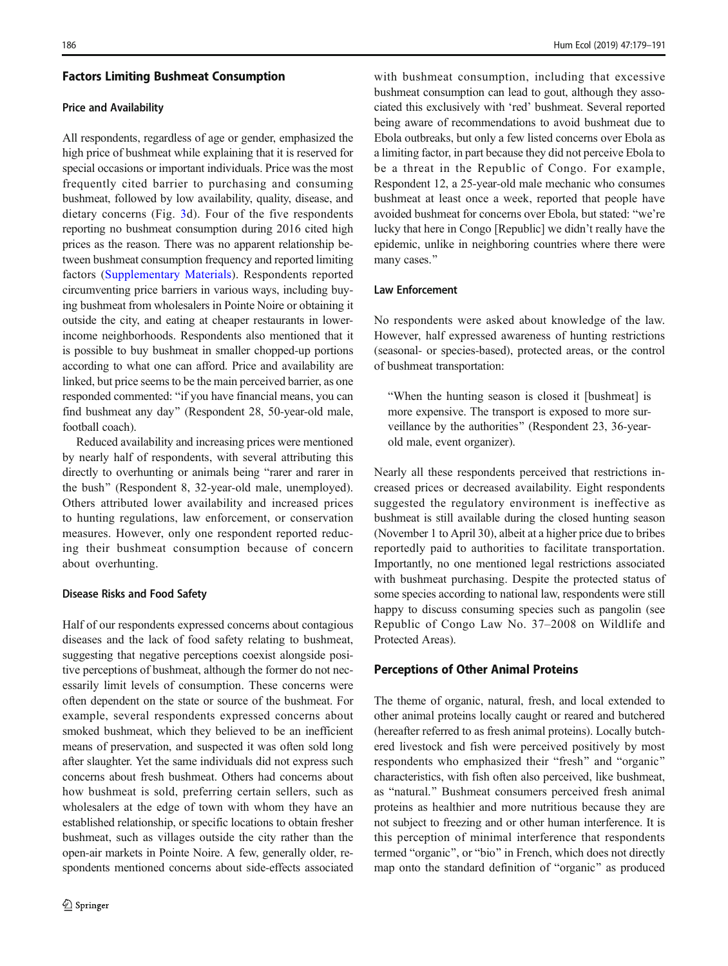#### Factors Limiting Bushmeat Consumption

#### Price and Availability

All respondents, regardless of age or gender, emphasized the high price of bushmeat while explaining that it is reserved for special occasions or important individuals. Price was the most frequently cited barrier to purchasing and consuming bushmeat, followed by low availability, quality, disease, and dietary concerns (Fig. [3d](#page-5-0)). Four of the five respondents reporting no bushmeat consumption during 2016 cited high prices as the reason. There was no apparent relationship between bushmeat consumption frequency and reported limiting factors (Supplementary Materials). Respondents reported circumventing price barriers in various ways, including buying bushmeat from wholesalers in Pointe Noire or obtaining it outside the city, and eating at cheaper restaurants in lowerincome neighborhoods. Respondents also mentioned that it is possible to buy bushmeat in smaller chopped-up portions according to what one can afford. Price and availability are linked, but price seems to be the main perceived barrier, as one responded commented: "if you have financial means, you can find bushmeat any day" (Respondent 28, 50-year-old male, football coach).

Reduced availability and increasing prices were mentioned by nearly half of respondents, with several attributing this directly to overhunting or animals being "rarer and rarer in the bush" (Respondent 8, 32-year-old male, unemployed). Others attributed lower availability and increased prices to hunting regulations, law enforcement, or conservation measures. However, only one respondent reported reducing their bushmeat consumption because of concern about overhunting.

### Disease Risks and Food Safety

Half of our respondents expressed concerns about contagious diseases and the lack of food safety relating to bushmeat, suggesting that negative perceptions coexist alongside positive perceptions of bushmeat, although the former do not necessarily limit levels of consumption. These concerns were often dependent on the state or source of the bushmeat. For example, several respondents expressed concerns about smoked bushmeat, which they believed to be an inefficient means of preservation, and suspected it was often sold long after slaughter. Yet the same individuals did not express such concerns about fresh bushmeat. Others had concerns about how bushmeat is sold, preferring certain sellers, such as wholesalers at the edge of town with whom they have an established relationship, or specific locations to obtain fresher bushmeat, such as villages outside the city rather than the open-air markets in Pointe Noire. A few, generally older, respondents mentioned concerns about side-effects associated

with bushmeat consumption, including that excessive bushmeat consumption can lead to gout, although they associated this exclusively with 'red' bushmeat. Several reported being aware of recommendations to avoid bushmeat due to Ebola outbreaks, but only a few listed concerns over Ebola as a limiting factor, in part because they did not perceive Ebola to be a threat in the Republic of Congo. For example, Respondent 12, a 25-year-old male mechanic who consumes bushmeat at least once a week, reported that people have avoided bushmeat for concerns over Ebola, but stated: "we're lucky that here in Congo [Republic] we didn't really have the epidemic, unlike in neighboring countries where there were many cases."

### Law Enforcement

No respondents were asked about knowledge of the law. However, half expressed awareness of hunting restrictions (seasonal- or species-based), protected areas, or the control of bushmeat transportation:

"When the hunting season is closed it [bushmeat] is more expensive. The transport is exposed to more surveillance by the authorities" (Respondent 23, 36-yearold male, event organizer).

Nearly all these respondents perceived that restrictions increased prices or decreased availability. Eight respondents suggested the regulatory environment is ineffective as bushmeat is still available during the closed hunting season (November 1 to April 30), albeit at a higher price due to bribes reportedly paid to authorities to facilitate transportation. Importantly, no one mentioned legal restrictions associated with bushmeat purchasing. Despite the protected status of some species according to national law, respondents were still happy to discuss consuming species such as pangolin (see Republic of Congo Law No. 37–2008 on Wildlife and Protected Areas).

### Perceptions of Other Animal Proteins

The theme of organic, natural, fresh, and local extended to other animal proteins locally caught or reared and butchered (hereafter referred to as fresh animal proteins). Locally butchered livestock and fish were perceived positively by most respondents who emphasized their "fresh" and "organic" characteristics, with fish often also perceived, like bushmeat, as "natural." Bushmeat consumers perceived fresh animal proteins as healthier and more nutritious because they are not subject to freezing and or other human interference. It is this perception of minimal interference that respondents termed "organic", or "bio" in French, which does not directly map onto the standard definition of "organic" as produced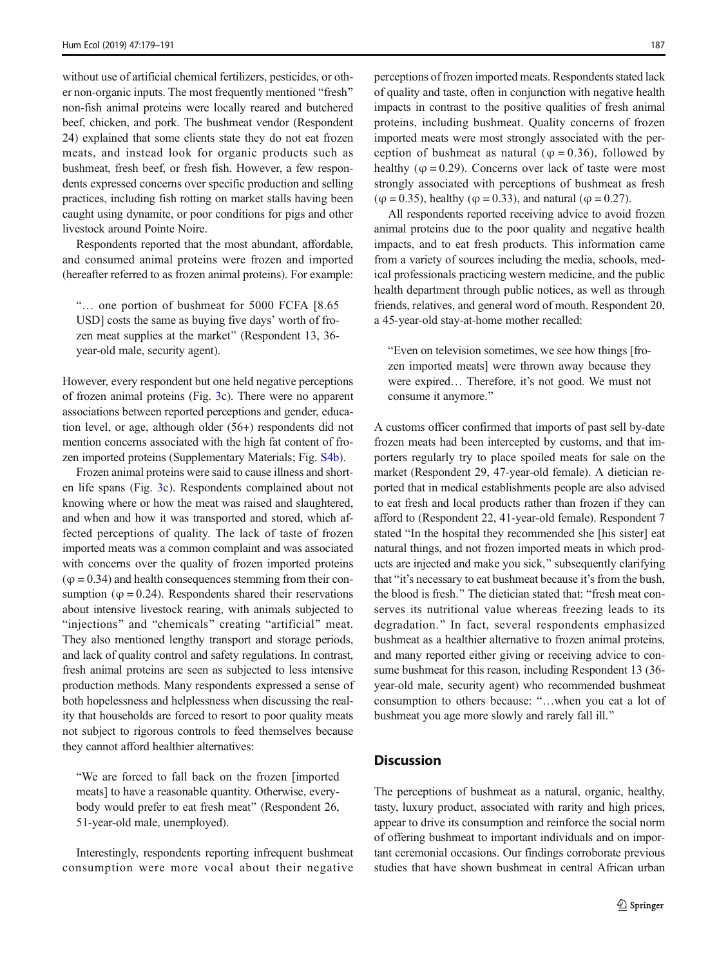without use of artificial chemical fertilizers, pesticides, or other non-organic inputs. The most frequently mentioned "fresh" non-fish animal proteins were locally reared and butchered beef, chicken, and pork. The bushmeat vendor (Respondent 24) explained that some clients state they do not eat frozen meats, and instead look for organic products such as bushmeat, fresh beef, or fresh fish. However, a few respondents expressed concerns over specific production and selling practices, including fish rotting on market stalls having been caught using dynamite, or poor conditions for pigs and other livestock around Pointe Noire.

Respondents reported that the most abundant, affordable, and consumed animal proteins were frozen and imported (hereafter referred to as frozen animal proteins). For example:

B… one portion of bushmeat for 5000 FCFA [8.65 USD] costs the same as buying five days' worth of frozen meat supplies at the market^ (Respondent 13, 36 year-old male, security agent).

However, every respondent but one held negative perceptions of frozen animal proteins (Fig. [3](#page-5-0)c). There were no apparent associations between reported perceptions and gender, education level, or age, although older (56+) respondents did not mention concerns associated with the high fat content of frozen imported proteins (Supplementary Materials; Fig. S4b).

Frozen animal proteins were said to cause illness and shorten life spans (Fig. [3c](#page-5-0)). Respondents complained about not knowing where or how the meat was raised and slaughtered, and when and how it was transported and stored, which affected perceptions of quality. The lack of taste of frozen imported meats was a common complaint and was associated with concerns over the quality of frozen imported proteins  $(\varphi = 0.34)$  and health consequences stemming from their consumption ( $\varphi$  = 0.24). Respondents shared their reservations about intensive livestock rearing, with animals subjected to "injections" and "chemicals" creating "artificial" meat. They also mentioned lengthy transport and storage periods, and lack of quality control and safety regulations. In contrast, fresh animal proteins are seen as subjected to less intensive production methods. Many respondents expressed a sense of both hopelessness and helplessness when discussing the reality that households are forced to resort to poor quality meats not subject to rigorous controls to feed themselves because they cannot afford healthier alternatives:

"We are forced to fall back on the frozen [imported meats] to have a reasonable quantity. Otherwise, everybody would prefer to eat fresh meat^ (Respondent 26, 51-year-old male, unemployed).

Interestingly, respondents reporting infrequent bushmeat consumption were more vocal about their negative perceptions of frozen imported meats. Respondents stated lack of quality and taste, often in conjunction with negative health impacts in contrast to the positive qualities of fresh animal proteins, including bushmeat. Quality concerns of frozen imported meats were most strongly associated with the perception of bushmeat as natural ( $\varphi = 0.36$ ), followed by healthy ( $\varphi$  = 0.29). Concerns over lack of taste were most strongly associated with perceptions of bushmeat as fresh ( $\varphi$  = 0.35), healthy ( $\varphi$  = 0.33), and natural ( $\varphi$  = 0.27).

All respondents reported receiving advice to avoid frozen animal proteins due to the poor quality and negative health impacts, and to eat fresh products. This information came from a variety of sources including the media, schools, medical professionals practicing western medicine, and the public health department through public notices, as well as through friends, relatives, and general word of mouth. Respondent 20, a 45-year-old stay-at-home mother recalled:

"Even on television sometimes, we see how things [frozen imported meats] were thrown away because they were expired… Therefore, it's not good. We must not consume it anymore."

A customs officer confirmed that imports of past sell by-date frozen meats had been intercepted by customs, and that importers regularly try to place spoiled meats for sale on the market (Respondent 29, 47-year-old female). A dietician reported that in medical establishments people are also advised to eat fresh and local products rather than frozen if they can afford to (Respondent 22, 41-year-old female). Respondent 7 stated "In the hospital they recommended she [his sister] eat natural things, and not frozen imported meats in which products are injected and make you sick," subsequently clarifying that "it's necessary to eat bushmeat because it's from the bush, the blood is fresh." The dietician stated that: "fresh meat conserves its nutritional value whereas freezing leads to its degradation.^ In fact, several respondents emphasized bushmeat as a healthier alternative to frozen animal proteins, and many reported either giving or receiving advice to consume bushmeat for this reason, including Respondent 13 (36 year-old male, security agent) who recommended bushmeat consumption to others because: "...when you eat a lot of bushmeat you age more slowly and rarely fall ill.<sup>"</sup>

# **Discussion**

The perceptions of bushmeat as a natural, organic, healthy, tasty, luxury product, associated with rarity and high prices, appear to drive its consumption and reinforce the social norm of offering bushmeat to important individuals and on important ceremonial occasions. Our findings corroborate previous studies that have shown bushmeat in central African urban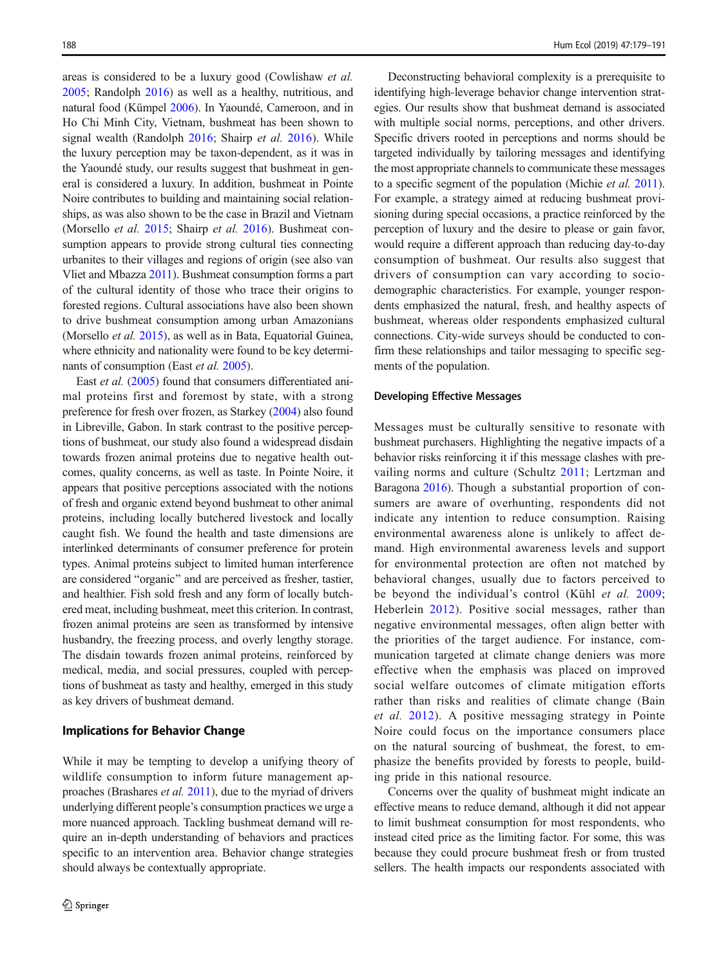areas is considered to be a luxury good (Cowlishaw et al. [2005;](#page-11-0) Randolph [2016\)](#page-12-0) as well as a healthy, nutritious, and natural food (Kümpel [2006\)](#page-12-0). In Yaoundé, Cameroon, and in Ho Chi Minh City, Vietnam, bushmeat has been shown to signal wealth (Randolph [2016](#page-12-0); Shairp et al. [2016](#page-12-0)). While the luxury perception may be taxon-dependent, as it was in the Yaoundé study, our results suggest that bushmeat in general is considered a luxury. In addition, bushmeat in Pointe Noire contributes to building and maintaining social relationships, as was also shown to be the case in Brazil and Vietnam (Morsello et al. [2015](#page-12-0); Shairp et al. [2016\)](#page-12-0). Bushmeat consumption appears to provide strong cultural ties connecting urbanites to their villages and regions of origin (see also van Vliet and Mbazza [2011](#page-12-0)). Bushmeat consumption forms a part of the cultural identity of those who trace their origins to forested regions. Cultural associations have also been shown to drive bushmeat consumption among urban Amazonians (Morsello et al. [2015\)](#page-12-0), as well as in Bata, Equatorial Guinea, where ethnicity and nationality were found to be key determinants of consumption (East *et al.* [2005\)](#page-11-0).

East *et al.* [\(2005\)](#page-11-0) found that consumers differentiated animal proteins first and foremost by state, with a strong preference for fresh over frozen, as Starkey [\(2004\)](#page-12-0) also found in Libreville, Gabon. In stark contrast to the positive perceptions of bushmeat, our study also found a widespread disdain towards frozen animal proteins due to negative health outcomes, quality concerns, as well as taste. In Pointe Noire, it appears that positive perceptions associated with the notions of fresh and organic extend beyond bushmeat to other animal proteins, including locally butchered livestock and locally caught fish. We found the health and taste dimensions are interlinked determinants of consumer preference for protein types. Animal proteins subject to limited human interference are considered "organic" and are perceived as fresher, tastier, and healthier. Fish sold fresh and any form of locally butchered meat, including bushmeat, meet this criterion. In contrast, frozen animal proteins are seen as transformed by intensive husbandry, the freezing process, and overly lengthy storage. The disdain towards frozen animal proteins, reinforced by medical, media, and social pressures, coupled with perceptions of bushmeat as tasty and healthy, emerged in this study as key drivers of bushmeat demand.

### Implications for Behavior Change

While it may be tempting to develop a unifying theory of wildlife consumption to inform future management approaches (Brashares et al. [2011\)](#page-11-0), due to the myriad of drivers underlying different people's consumption practices we urge a more nuanced approach. Tackling bushmeat demand will require an in-depth understanding of behaviors and practices specific to an intervention area. Behavior change strategies should always be contextually appropriate.

Deconstructing behavioral complexity is a prerequisite to identifying high-leverage behavior change intervention strategies. Our results show that bushmeat demand is associated with multiple social norms, perceptions, and other drivers. Specific drivers rooted in perceptions and norms should be targeted individually by tailoring messages and identifying the most appropriate channels to communicate these messages to a specific segment of the population (Michie et al. [2011\)](#page-12-0). For example, a strategy aimed at reducing bushmeat provisioning during special occasions, a practice reinforced by the perception of luxury and the desire to please or gain favor, would require a different approach than reducing day-to-day consumption of bushmeat. Our results also suggest that drivers of consumption can vary according to sociodemographic characteristics. For example, younger respondents emphasized the natural, fresh, and healthy aspects of bushmeat, whereas older respondents emphasized cultural connections. City-wide surveys should be conducted to confirm these relationships and tailor messaging to specific segments of the population.

#### Developing Effective Messages

Messages must be culturally sensitive to resonate with bushmeat purchasers. Highlighting the negative impacts of a behavior risks reinforcing it if this message clashes with prevailing norms and culture (Schultz [2011](#page-12-0); Lertzman and Baragona [2016\)](#page-12-0). Though a substantial proportion of consumers are aware of overhunting, respondents did not indicate any intention to reduce consumption. Raising environmental awareness alone is unlikely to affect demand. High environmental awareness levels and support for environmental protection are often not matched by behavioral changes, usually due to factors perceived to be beyond the individual's control (Kühl et al. [2009;](#page-12-0) Heberlein [2012](#page-12-0)). Positive social messages, rather than negative environmental messages, often align better with the priorities of the target audience. For instance, communication targeted at climate change deniers was more effective when the emphasis was placed on improved social welfare outcomes of climate mitigation efforts rather than risks and realities of climate change (Bain et al. [2012\)](#page-11-0). A positive messaging strategy in Pointe Noire could focus on the importance consumers place on the natural sourcing of bushmeat, the forest, to emphasize the benefits provided by forests to people, building pride in this national resource.

Concerns over the quality of bushmeat might indicate an effective means to reduce demand, although it did not appear to limit bushmeat consumption for most respondents, who instead cited price as the limiting factor. For some, this was because they could procure bushmeat fresh or from trusted sellers. The health impacts our respondents associated with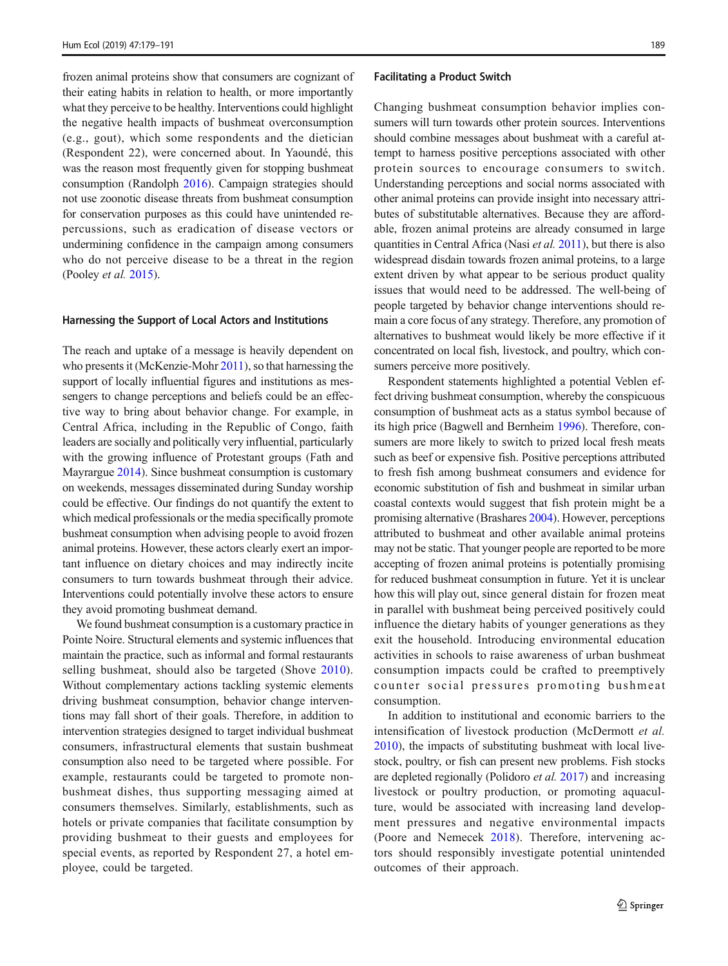frozen animal proteins show that consumers are cognizant of their eating habits in relation to health, or more importantly what they perceive to be healthy. Interventions could highlight the negative health impacts of bushmeat overconsumption (e.g., gout), which some respondents and the dietician (Respondent 22), were concerned about. In Yaoundé, this was the reason most frequently given for stopping bushmeat consumption (Randolph [2016\)](#page-12-0). Campaign strategies should not use zoonotic disease threats from bushmeat consumption for conservation purposes as this could have unintended repercussions, such as eradication of disease vectors or undermining confidence in the campaign among consumers who do not perceive disease to be a threat in the region (Pooley et al. [2015\)](#page-12-0).

#### Harnessing the Support of Local Actors and Institutions

The reach and uptake of a message is heavily dependent on who presents it (McKenzie-Mohr [2011\)](#page-12-0), so that harnessing the support of locally influential figures and institutions as messengers to change perceptions and beliefs could be an effective way to bring about behavior change. For example, in Central Africa, including in the Republic of Congo, faith leaders are socially and politically very influential, particularly with the growing influence of Protestant groups (Fath and Mayrargue [2014](#page-12-0)). Since bushmeat consumption is customary on weekends, messages disseminated during Sunday worship could be effective. Our findings do not quantify the extent to which medical professionals or the media specifically promote bushmeat consumption when advising people to avoid frozen animal proteins. However, these actors clearly exert an important influence on dietary choices and may indirectly incite consumers to turn towards bushmeat through their advice. Interventions could potentially involve these actors to ensure they avoid promoting bushmeat demand.

We found bushmeat consumption is a customary practice in Pointe Noire. Structural elements and systemic influences that maintain the practice, such as informal and formal restaurants selling bushmeat, should also be targeted (Shove [2010](#page-12-0)). Without complementary actions tackling systemic elements driving bushmeat consumption, behavior change interventions may fall short of their goals. Therefore, in addition to intervention strategies designed to target individual bushmeat consumers, infrastructural elements that sustain bushmeat consumption also need to be targeted where possible. For example, restaurants could be targeted to promote nonbushmeat dishes, thus supporting messaging aimed at consumers themselves. Similarly, establishments, such as hotels or private companies that facilitate consumption by providing bushmeat to their guests and employees for special events, as reported by Respondent 27, a hotel employee, could be targeted.

#### Facilitating a Product Switch

Changing bushmeat consumption behavior implies consumers will turn towards other protein sources. Interventions should combine messages about bushmeat with a careful attempt to harness positive perceptions associated with other protein sources to encourage consumers to switch. Understanding perceptions and social norms associated with other animal proteins can provide insight into necessary attributes of substitutable alternatives. Because they are affordable, frozen animal proteins are already consumed in large quantities in Central Africa (Nasi et al. [2011](#page-12-0)), but there is also widespread disdain towards frozen animal proteins, to a large extent driven by what appear to be serious product quality issues that would need to be addressed. The well-being of people targeted by behavior change interventions should remain a core focus of any strategy. Therefore, any promotion of alternatives to bushmeat would likely be more effective if it concentrated on local fish, livestock, and poultry, which consumers perceive more positively.

Respondent statements highlighted a potential Veblen effect driving bushmeat consumption, whereby the conspicuous consumption of bushmeat acts as a status symbol because of its high price (Bagwell and Bernheim [1996\)](#page-11-0). Therefore, consumers are more likely to switch to prized local fresh meats such as beef or expensive fish. Positive perceptions attributed to fresh fish among bushmeat consumers and evidence for economic substitution of fish and bushmeat in similar urban coastal contexts would suggest that fish protein might be a promising alternative (Brashares [2004](#page-11-0)). However, perceptions attributed to bushmeat and other available animal proteins may not be static. That younger people are reported to be more accepting of frozen animal proteins is potentially promising for reduced bushmeat consumption in future. Yet it is unclear how this will play out, since general distain for frozen meat in parallel with bushmeat being perceived positively could influence the dietary habits of younger generations as they exit the household. Introducing environmental education activities in schools to raise awareness of urban bushmeat consumption impacts could be crafted to preemptively counter social pressures promoting bushmeat consumption.

In addition to institutional and economic barriers to the intensification of livestock production (McDermott et al. [2010\)](#page-12-0), the impacts of substituting bushmeat with local livestock, poultry, or fish can present new problems. Fish stocks are depleted regionally (Polidoro *et al.* [2017\)](#page-12-0) and increasing livestock or poultry production, or promoting aquaculture, would be associated with increasing land development pressures and negative environmental impacts (Poore and Nemecek [2018\)](#page-12-0). Therefore, intervening actors should responsibly investigate potential unintended outcomes of their approach.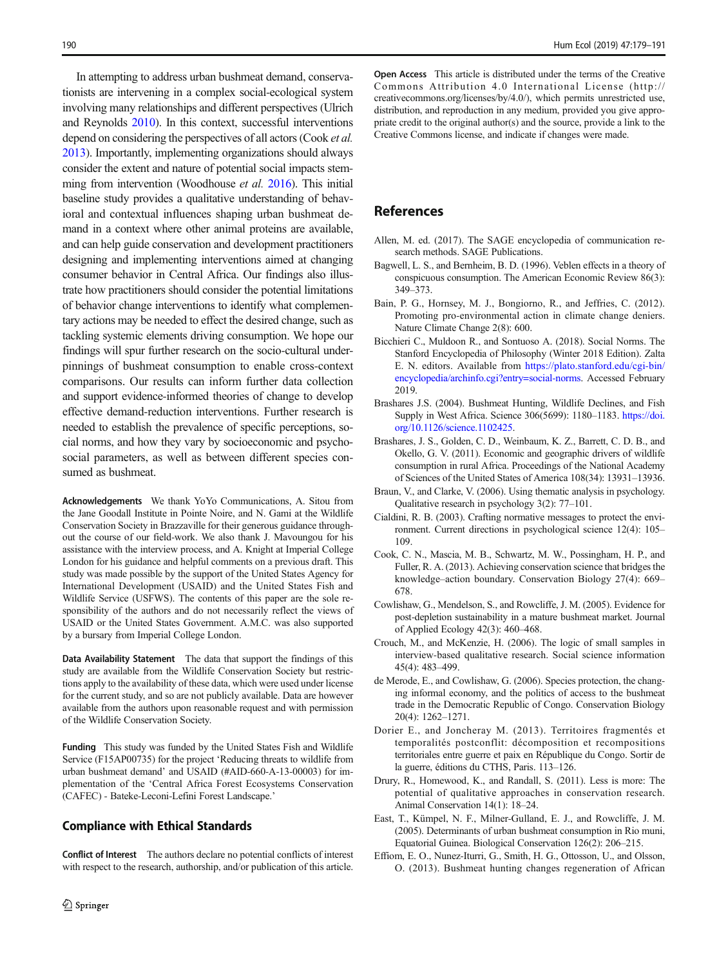<span id="page-11-0"></span>In attempting to address urban bushmeat demand, conservationists are intervening in a complex social-ecological system involving many relationships and different perspectives (Ulrich and Reynolds [2010\)](#page-12-0). In this context, successful interventions depend on considering the perspectives of all actors (Cook *et al.*) 2013). Importantly, implementing organizations should always consider the extent and nature of potential social impacts stemming from intervention (Woodhouse *et al.* [2016](#page-12-0)). This initial baseline study provides a qualitative understanding of behavioral and contextual influences shaping urban bushmeat demand in a context where other animal proteins are available, and can help guide conservation and development practitioners designing and implementing interventions aimed at changing consumer behavior in Central Africa. Our findings also illustrate how practitioners should consider the potential limitations of behavior change interventions to identify what complementary actions may be needed to effect the desired change, such as tackling systemic elements driving consumption. We hope our findings will spur further research on the socio-cultural underpinnings of bushmeat consumption to enable cross-context comparisons. Our results can inform further data collection and support evidence-informed theories of change to develop effective demand-reduction interventions. Further research is needed to establish the prevalence of specific perceptions, social norms, and how they vary by socioeconomic and psychosocial parameters, as well as between different species consumed as bushmeat.

Acknowledgements We thank YoYo Communications, A. Sitou from the Jane Goodall Institute in Pointe Noire, and N. Gami at the Wildlife Conservation Society in Brazzaville for their generous guidance throughout the course of our field-work. We also thank J. Mavoungou for his assistance with the interview process, and A. Knight at Imperial College London for his guidance and helpful comments on a previous draft. This study was made possible by the support of the United States Agency for International Development (USAID) and the United States Fish and Wildlife Service (USFWS). The contents of this paper are the sole responsibility of the authors and do not necessarily reflect the views of USAID or the United States Government. A.M.C. was also supported by a bursary from Imperial College London.

Data Availability Statement The data that support the findings of this study are available from the Wildlife Conservation Society but restrictions apply to the availability of these data, which were used under license for the current study, and so are not publicly available. Data are however available from the authors upon reasonable request and with permission of the Wildlife Conservation Society.

Funding This study was funded by the United States Fish and Wildlife Service (F15AP00735) for the project 'Reducing threats to wildlife from urban bushmeat demand' and USAID (#AID-660-A-13-00003) for implementation of the 'Central Africa Forest Ecosystems Conservation (CAFEC) - Bateke-Leconi-Lefini Forest Landscape.'

### Compliance with Ethical Standards

Conflict of Interest The authors declare no potential conflicts of interest with respect to the research, authorship, and/or publication of this article. Open Access This article is distributed under the terms of the Creative Commons Attribution 4.0 International License (http:// creativecommons.org/licenses/by/4.0/), which permits unrestricted use, distribution, and reproduction in any medium, provided you give appropriate credit to the original author(s) and the source, provide a link to the Creative Commons license, and indicate if changes were made.

## References

- Allen, M. ed. (2017). The SAGE encyclopedia of communication research methods. SAGE Publications.
- Bagwell, L. S., and Bernheim, B. D. (1996). Veblen effects in a theory of conspicuous consumption. The American Economic Review 86(3): 349–373.
- Bain, P. G., Hornsey, M. J., Bongiorno, R., and Jeffries, C. (2012). Promoting pro-environmental action in climate change deniers. Nature Climate Change 2(8): 600.
- Bicchieri C., Muldoon R., and Sontuoso A. (2018). Social Norms. The Stanford Encyclopedia of Philosophy (Winter 2018 Edition). Zalta E. N. editors. Available from [https://plato.stanford.edu/cgi-bin/](https://plato.stanford.edu/cgi-bin/encyclopedia/archinfo.cgi?entry=social-norms) [encyclopedia/archinfo.cgi?entry=social-norms](https://plato.stanford.edu/cgi-bin/encyclopedia/archinfo.cgi?entry=social-norms). Accessed February 2019.
- Brashares J.S. (2004). Bushmeat Hunting, Wildlife Declines, and Fish Supply in West Africa. Science 306(5699): 1180–1183. [https://doi.](https://doi.org/10.1126/science.1102425) [org/10.1126/science.1102425](https://doi.org/10.1126/science.1102425).
- Brashares, J. S., Golden, C. D., Weinbaum, K. Z., Barrett, C. D. B., and Okello, G. V. (2011). Economic and geographic drivers of wildlife consumption in rural Africa. Proceedings of the National Academy of Sciences of the United States of America 108(34): 13931–13936.
- Braun, V., and Clarke, V. (2006). Using thematic analysis in psychology. Qualitative research in psychology 3(2): 77–101.
- Cialdini, R. B. (2003). Crafting normative messages to protect the environment. Current directions in psychological science 12(4): 105– 109.
- Cook, C. N., Mascia, M. B., Schwartz, M. W., Possingham, H. P., and Fuller, R. A. (2013). Achieving conservation science that bridges the knowledge–action boundary. Conservation Biology 27(4): 669– 678.
- Cowlishaw, G., Mendelson, S., and Rowcliffe, J. M. (2005). Evidence for post-depletion sustainability in a mature bushmeat market. Journal of Applied Ecology 42(3): 460–468.
- Crouch, M., and McKenzie, H. (2006). The logic of small samples in interview-based qualitative research. Social science information 45(4): 483–499.
- de Merode, E., and Cowlishaw, G. (2006). Species protection, the changing informal economy, and the politics of access to the bushmeat trade in the Democratic Republic of Congo. Conservation Biology 20(4): 1262–1271.
- Dorier E., and Joncheray M. (2013). Territoires fragmentés et temporalités postconflit: décomposition et recompositions territoriales entre guerre et paix en République du Congo. Sortir de la guerre, éditions du CTHS, Paris. 113–126.
- Drury, R., Homewood, K., and Randall, S. (2011). Less is more: The potential of qualitative approaches in conservation research. Animal Conservation 14(1): 18–24.
- East, T., Kümpel, N. F., Milner-Gulland, E. J., and Rowcliffe, J. M. (2005). Determinants of urban bushmeat consumption in Rio muni, Equatorial Guinea. Biological Conservation 126(2): 206–215.
- Effiom, E. O., Nunez-Iturri, G., Smith, H. G., Ottosson, U., and Olsson, O. (2013). Bushmeat hunting changes regeneration of African